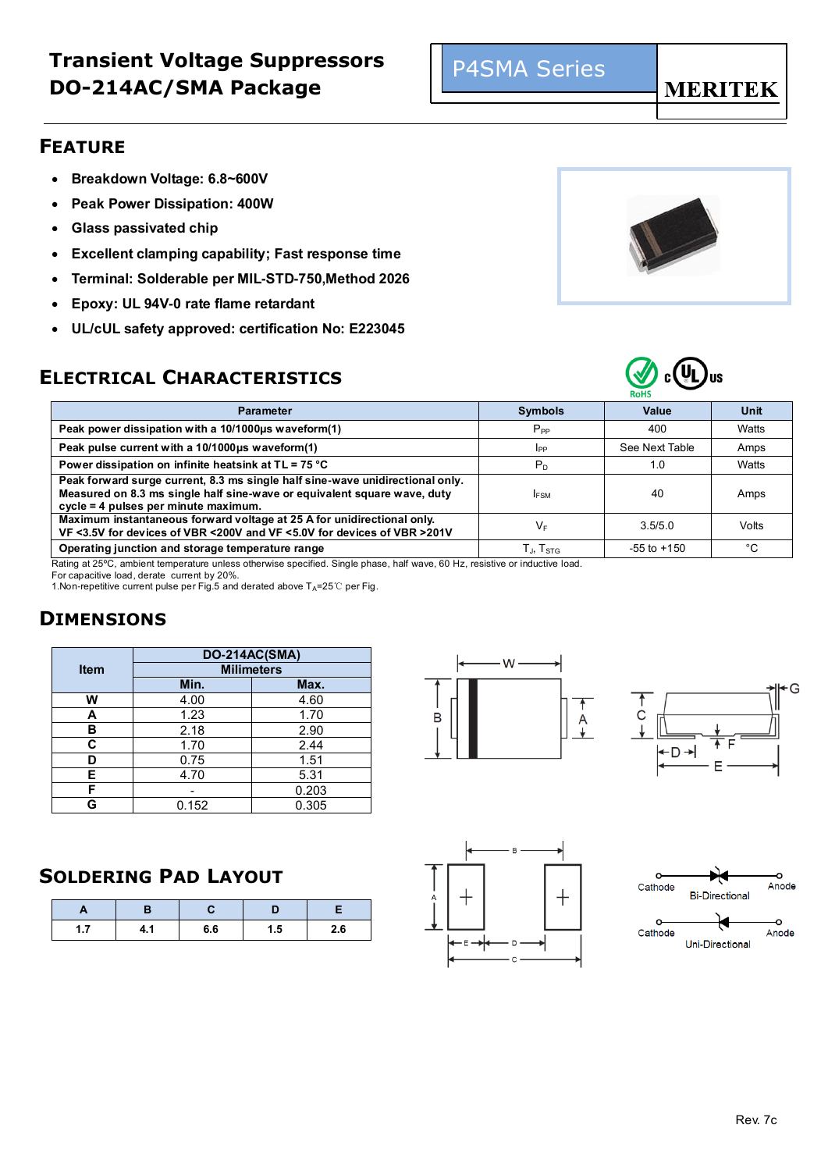## **Transient Voltage Suppressors DO-214AC/SMA Package**

### **FEATURE**

- **Breakdown Voltage: 6.8~600V**
- **Peak Power Dissipation: 400W**
- **Glass passivated chip**
- **Excellent clamping capability; Fast response time**
- **Terminal: Solderable per MIL-STD-750,Method 2026**
- **Epoxy: UL 94V-0 rate flame retardant**
- **UL/cUL safety approved: certification No: E223045**

### **ELECTRICAL CHARACTERISTICS**



| Parameter                                                                                                                                                                                         | <b>Symbols</b>              | Value           | Unit  |  |  |  |  |  |
|---------------------------------------------------------------------------------------------------------------------------------------------------------------------------------------------------|-----------------------------|-----------------|-------|--|--|--|--|--|
| Peak power dissipation with a 10/1000us waveform(1)                                                                                                                                               | $P_{PP}$                    | 400             | Watts |  |  |  |  |  |
| Peak pulse current with a 10/1000us waveform(1)                                                                                                                                                   | IPP                         | See Next Table  | Amps  |  |  |  |  |  |
| Power dissipation on infinite heatsink at TL = 75 °C                                                                                                                                              | $P_D$                       | 1.0             | Watts |  |  |  |  |  |
| Peak forward surge current, 8.3 ms single half sine-wave unidirectional only.<br>Measured on 8.3 ms single half sine-wave or equivalent square wave, duty<br>cycle = 4 pulses per minute maximum. | <b>IFSM</b>                 | 40              | Amps  |  |  |  |  |  |
| Maximum instantaneous forward voltage at 25 A for unidirectional only.<br>VF <3.5V for devices of VBR <200V and VF <5.0V for devices of VBR >201V                                                 | V⊧                          | 3.5/5.0         | Volts |  |  |  |  |  |
| Operating junction and storage temperature range                                                                                                                                                  | $T_{\rm J}$ , $T_{\rm STG}$ | $-55$ to $+150$ | °C    |  |  |  |  |  |
| ו ויודי יודי מאודרים והיודים ומודים והיודים והיודים המאודרים מודי                                                                                                                                 |                             |                 |       |  |  |  |  |  |

Rating at 25ºC, ambient temperature unless otherwise specified. Single phase, half wave, 60 Hz, resistive or inductive load. For capacitive load, derate current by 20%.

1. Non-repetitive current pulse per Fig.5 and derated above  $T_A=25^\circ \text{C}$  per Fig.

## **DIMENSIONS**

|             | DO-214AC(SMA)     |       |  |  |  |
|-------------|-------------------|-------|--|--|--|
| <b>Item</b> | <b>Milimeters</b> |       |  |  |  |
|             | Min.              | Max.  |  |  |  |
| w           | 4.00              | 4.60  |  |  |  |
| А           | 1.23              | 1.70  |  |  |  |
| в           | 2.18              | 2.90  |  |  |  |
| C           | 1.70              | 2.44  |  |  |  |
| D           | 0.75              | 1.51  |  |  |  |
| Е           | 4.70              | 5.31  |  |  |  |
| F           |                   | 0.203 |  |  |  |
| G           | 0.152             | 0.305 |  |  |  |

## **SOLDERING PAD LAYOUT**

| $\overline{\phantom{a}}$ |     |     |     |     |
|--------------------------|-----|-----|-----|-----|
| ı.,                      | 4.1 | 6.6 | 1.5 | 2.6 |



P4SMA Series







#### **MERITEK**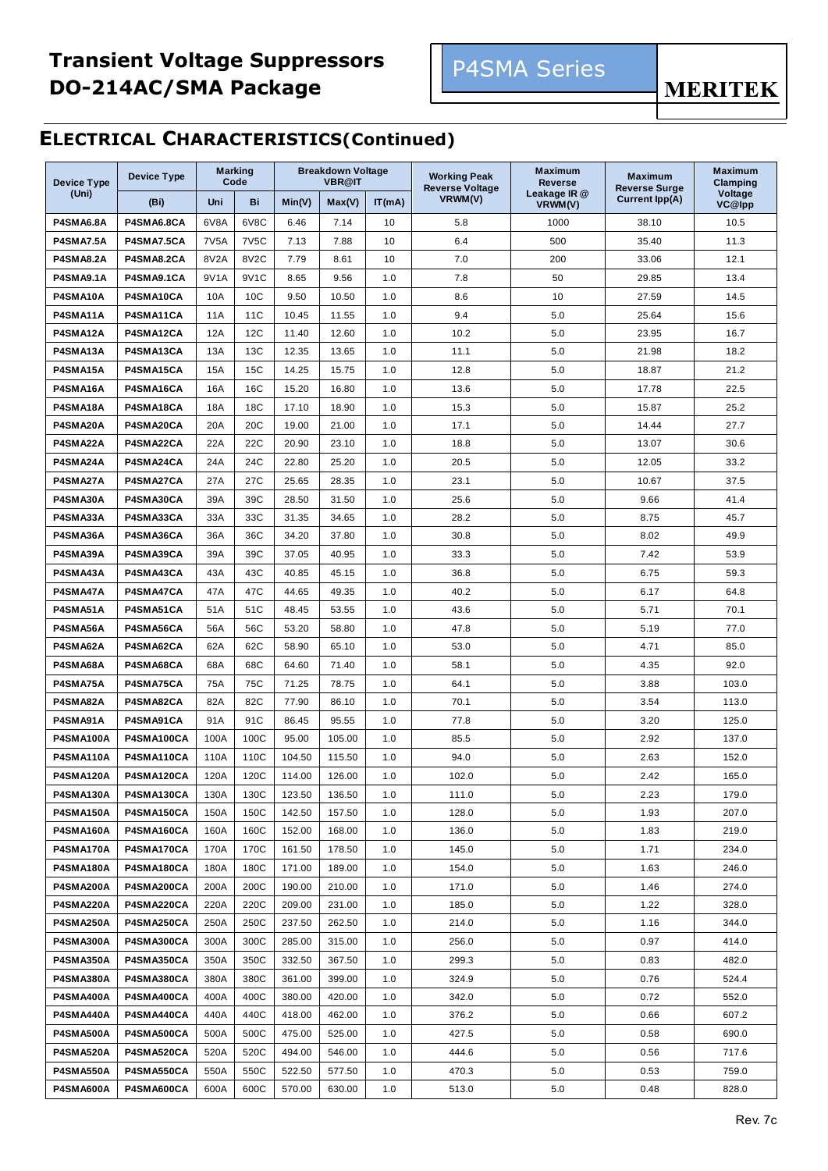# **ELECTRICAL CHARACTERISTICS(Continued)**

| <b>Device Type</b> | <b>Device Type</b> |      | <b>Marking</b><br>Code |        | <b>Breakdown Voltage</b><br><b>VBR@IT</b> |        | <b>Working Peak</b>               | <b>Maximum</b><br>Reverse | <b>Maximum</b>                         | <b>Maximum</b><br>Clamping<br>Voltage<br>VC@lpp |
|--------------------|--------------------|------|------------------------|--------|-------------------------------------------|--------|-----------------------------------|---------------------------|----------------------------------------|-------------------------------------------------|
| (Uni)              | (Bi)               | Uni  | Bi                     | Min(V) | Max(V)                                    | IT(mA) | <b>Reverse Voltage</b><br>VRWM(V) | Leakage IR @<br>VRWM(V)   | <b>Reverse Surge</b><br>Current Ipp(A) |                                                 |
| P4SMA6.8A          | P4SMA6.8CA         | 6V8A | 6V8C                   | 6.46   | 7.14                                      | 10     | 5.8                               | 1000                      | 38.10                                  | 10.5                                            |
| <b>P4SMA7.5A</b>   | P4SMA7.5CA         | 7V5A | 7V <sub>5</sub> C      | 7.13   | 7.88                                      | 10     | 6.4                               | 500                       | 35.40                                  | 11.3                                            |
| <b>P4SMA8.2A</b>   | P4SMA8.2CA         | 8V2A | 8V2C                   | 7.79   | 8.61                                      | 10     | 7.0                               | 200                       | 33.06                                  | 12.1                                            |
| <b>P4SMA9.1A</b>   | P4SMA9.1CA         | 9V1A | 9V1C                   | 8.65   | 9.56                                      | 1.0    | 7.8                               | 50                        | 29.85                                  | 13.4                                            |
| P4SMA10A           | P4SMA10CA          | 10A  | 10 <sub>C</sub>        | 9.50   | 10.50                                     | 1.0    | 8.6                               | 10                        | 27.59                                  | 14.5                                            |
| P4SMA11A           | P4SMA11CA          | 11A  | 11C                    | 10.45  | 11.55                                     | 1.0    | 9.4                               | 5.0                       | 25.64                                  | 15.6                                            |
| P4SMA12A           | P4SMA12CA          | 12A  | 12C                    | 11.40  | 12.60                                     | 1.0    | 10.2                              | 5.0                       | 23.95                                  | 16.7                                            |
| P4SMA13A           | P4SMA13CA          | 13A  | 13C                    | 12.35  | 13.65                                     | 1.0    | 11.1                              | 5.0                       | 21.98                                  | 18.2                                            |
| P4SMA15A           | P4SMA15CA          | 15A  | 15C                    | 14.25  | 15.75                                     | 1.0    | 12.8                              | 5.0                       | 18.87                                  | 21.2                                            |
| P4SMA16A           | P4SMA16CA          | 16A  | 16C                    | 15.20  | 16.80                                     | 1.0    | 13.6                              | 5.0                       | 17.78                                  | 22.5                                            |
| P4SMA18A           | P4SMA18CA          | 18A  | 18C                    | 17.10  | 18.90                                     | 1.0    | 15.3                              | 5.0                       | 15.87                                  | 25.2                                            |
| P4SMA20A           | P4SMA20CA          | 20A  | 20C                    | 19.00  | 21.00                                     | 1.0    | 17.1                              | 5.0                       | 14.44                                  | 27.7                                            |
| P4SMA22A           | P4SMA22CA          | 22A  | 22C                    | 20.90  | 23.10                                     | 1.0    | 18.8                              | 5.0                       | 13.07                                  | 30.6                                            |
| P4SMA24A           | P4SMA24CA          | 24A  | 24C                    | 22.80  | 25.20                                     | 1.0    | 20.5                              | 5.0                       | 12.05                                  | 33.2                                            |
| P4SMA27A           | P4SMA27CA          | 27A  | 27C                    | 25.65  | 28.35                                     | 1.0    | 23.1                              | 5.0                       | 10.67                                  | 37.5                                            |
| P4SMA30A           | P4SMA30CA          | 39A  | 39C                    | 28.50  | 31.50                                     | 1.0    | 25.6                              | 5.0                       | 9.66                                   | 41.4                                            |
| P4SMA33A           | P4SMA33CA          | 33A  | 33C                    | 31.35  | 34.65                                     | 1.0    | 28.2                              | 5.0                       | 8.75                                   | 45.7                                            |
| P4SMA36A           | P4SMA36CA          | 36A  | 36C                    | 34.20  | 37.80                                     | 1.0    | 30.8                              | 5.0                       | 8.02                                   | 49.9                                            |
| P4SMA39A           | P4SMA39CA          | 39A  | 39C                    | 37.05  | 40.95                                     | 1.0    | 33.3                              | 5.0                       | 7.42                                   | 53.9                                            |
| P4SMA43A           | P4SMA43CA          | 43A  | 43C                    | 40.85  | 45.15                                     | 1.0    | 36.8                              | 5.0                       | 6.75                                   | 59.3                                            |
| P4SMA47A           | P4SMA47CA          | 47A  | 47C                    | 44.65  | 49.35                                     | 1.0    | 40.2                              | 5.0                       | 6.17                                   | 64.8                                            |
| P4SMA51A           | P4SMA51CA          | 51A  | 51C                    | 48.45  | 53.55                                     | 1.0    | 43.6                              | 5.0                       | 5.71                                   | 70.1                                            |
| P4SMA56A           | P4SMA56CA          | 56A  | 56C                    | 53.20  | 58.80                                     | 1.0    | 47.8                              | 5.0                       | 5.19                                   | 77.0                                            |
| P4SMA62A           | P4SMA62CA          | 62A  | 62C                    | 58.90  | 65.10                                     | 1.0    | 53.0                              | 5.0                       | 4.71                                   | 85.0                                            |
| P4SMA68A           | P4SMA68CA          | 68A  | 68C                    | 64.60  | 71.40                                     | 1.0    | 58.1                              | 5.0                       | 4.35                                   | 92.0                                            |
| P4SMA75A           | P4SMA75CA          | 75A  | 75C                    | 71.25  | 78.75                                     | 1.0    | 64.1                              | 5.0                       | 3.88                                   | 103.0                                           |
| P4SMA82A           | P4SMA82CA          | 82A  | 82C                    | 77.90  | 86.10                                     | 1.0    | 70.1                              | 5.0                       | 3.54                                   | 113.0                                           |
| P4SMA91A           | P4SMA91CA          | 91A  | 91C                    | 86.45  | 95.55                                     | 1.0    | 77.8                              | 5.0                       | 3.20                                   | 125.0                                           |
| P4SMA100A          | P4SMA100CA         | 100A | 100C                   | 95.00  | 105.00                                    | 1.0    | 85.5                              | 5.0                       | 2.92                                   | 137.0                                           |
| <b>P4SMA110A</b>   | P4SMA110CA         | 110A | 110C                   | 104.50 | 115.50                                    | 1.0    | 94.0                              | 5.0                       | 2.63                                   | 152.0                                           |
| <b>P4SMA120A</b>   | P4SMA120CA         | 120A | 120C                   | 114.00 | 126.00                                    | 1.0    | 102.0                             | 5.0                       | 2.42                                   | 165.0                                           |
| <b>P4SMA130A</b>   | P4SMA130CA         | 130A | 130C                   | 123.50 | 136.50                                    | 1.0    | 111.0                             | 5.0                       | 2.23                                   | 179.0                                           |
| <b>P4SMA150A</b>   | P4SMA150CA         | 150A | 150C                   | 142.50 | 157.50                                    | 1.0    | 128.0                             | 5.0                       | 1.93                                   | 207.0                                           |
| <b>P4SMA160A</b>   | P4SMA160CA         | 160A | 160C                   | 152.00 | 168.00                                    | 1.0    | 136.0                             | 5.0                       | 1.83                                   | 219.0                                           |
| <b>P4SMA170A</b>   | P4SMA170CA         | 170A | 170C                   | 161.50 | 178.50                                    | 1.0    | 145.0                             | 5.0                       | 1.71                                   | 234.0                                           |
| <b>P4SMA180A</b>   | P4SMA180CA         | 180A | 180C                   | 171.00 | 189.00                                    | 1.0    | 154.0                             | 5.0                       | 1.63                                   | 246.0                                           |
| <b>P4SMA200A</b>   | P4SMA200CA         | 200A | 200C                   | 190.00 | 210.00                                    | 1.0    | 171.0                             | 5.0                       | 1.46                                   | 274.0                                           |
| <b>P4SMA220A</b>   | P4SMA220CA         | 220A | 220C                   | 209.00 | 231.00                                    | 1.0    | 185.0                             | 5.0                       | 1.22                                   | 328.0                                           |
| <b>P4SMA250A</b>   | P4SMA250CA         | 250A | 250C                   | 237.50 | 262.50                                    | 1.0    | 214.0                             | 5.0                       | 1.16                                   | 344.0                                           |
| <b>P4SMA300A</b>   | P4SMA300CA         | 300A | 300C                   | 285.00 | 315.00                                    | 1.0    | 256.0                             | 5.0                       | 0.97                                   | 414.0                                           |
| <b>P4SMA350A</b>   | P4SMA350CA         | 350A | 350C                   | 332.50 | 367.50                                    | 1.0    | 299.3                             | 5.0                       | 0.83                                   | 482.0                                           |
| <b>P4SMA380A</b>   | P4SMA380CA         | 380A | 380C                   | 361.00 | 399.00                                    | 1.0    | 324.9                             | 5.0                       | 0.76                                   | 524.4                                           |
| P4SMA400A          | P4SMA400CA         | 400A | 400C                   | 380.00 | 420.00                                    | 1.0    | 342.0                             | 5.0                       | 0.72                                   | 552.0                                           |
| P4SMA440A          | P4SMA440CA         | 440A | 440C                   | 418.00 | 462.00                                    | 1.0    | 376.2                             | 5.0                       | 0.66                                   | 607.2                                           |
| <b>P4SMA500A</b>   | P4SMA500CA         | 500A | 500C                   | 475.00 | 525.00                                    | 1.0    | 427.5                             | 5.0                       | 0.58                                   | 690.0                                           |
| <b>P4SMA520A</b>   | P4SMA520CA         | 520A | 520C                   | 494.00 | 546.00                                    | 1.0    | 444.6                             | 5.0                       | 0.56                                   | 717.6                                           |
| <b>P4SMA550A</b>   | P4SMA550CA         | 550A | 550C                   | 522.50 | 577.50                                    | 1.0    | 470.3                             | 5.0                       | 0.53                                   | 759.0                                           |
| <b>P4SMA600A</b>   | P4SMA600CA         | 600A | 600C                   | 570.00 | 630.00                                    | 1.0    | 513.0                             | 5.0                       | 0.48                                   | 828.0                                           |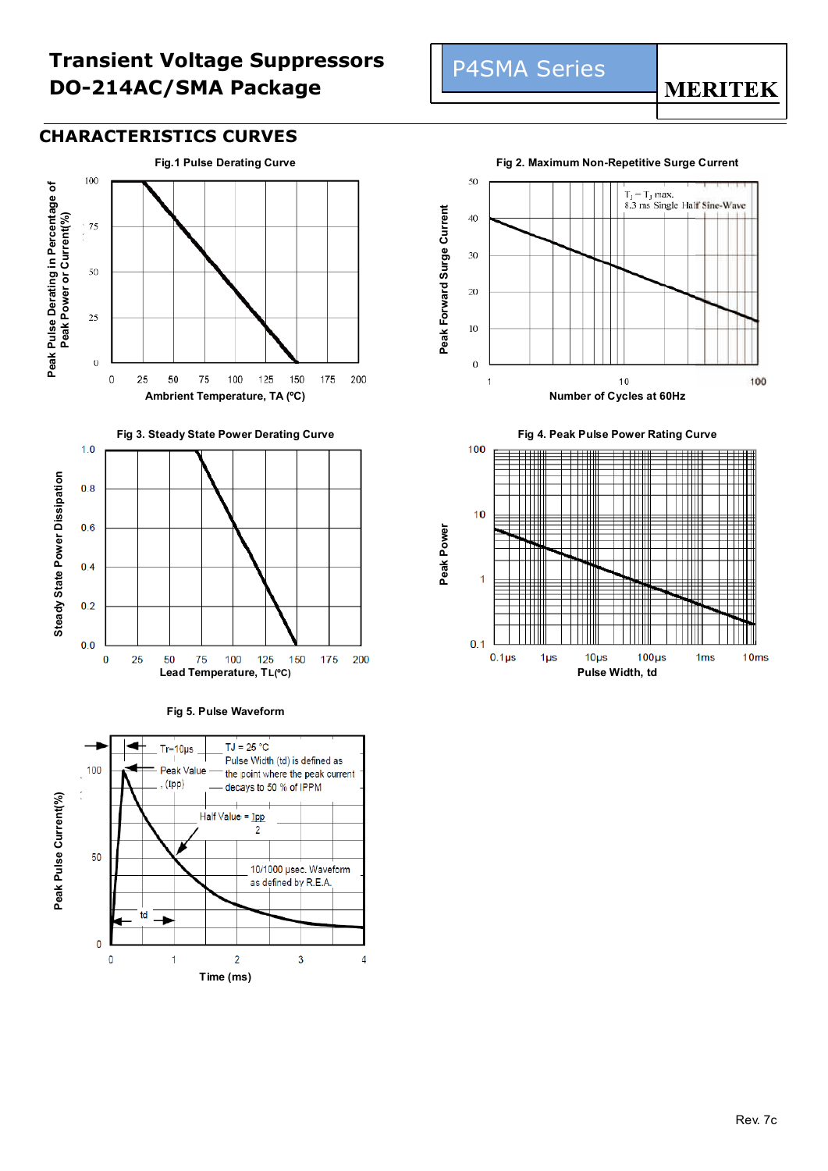## **Transient Voltage Suppressors DO-214AC/SMA Package**

#### **CHARACTERISTICS CURVES**





#### **Fig 5. Pulse Waveform**